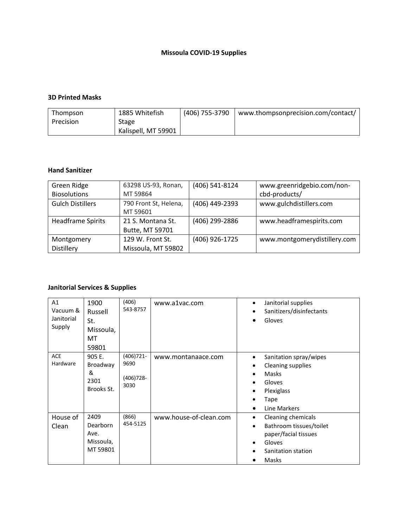# **Missoula COVID-19 Supplies**

### **3D Printed Masks**

| Thompson  | 1885 Whitefish      | (406) 755-3790 | www.thompsonprecision.com/contact/ |
|-----------|---------------------|----------------|------------------------------------|
| Precision | Stage               |                |                                    |
|           | Kalispell, MT 59901 |                |                                    |

#### **Hand Sanitizer**

| Green Ridge              | 63298 US-93, Ronan,   | (406) 541-8124 | www.greenridgebio.com/non-   |
|--------------------------|-----------------------|----------------|------------------------------|
| <b>Biosolutions</b>      | MT 59864              |                | cbd-products/                |
| <b>Gulch Distillers</b>  | 790 Front St, Helena, | (406) 449-2393 | www.gulchdistillers.com      |
|                          | MT 59601              |                |                              |
| <b>Headframe Spirits</b> | 21 S. Montana St.     | (406) 299-2886 | www.headframespirits.com     |
|                          | Butte, MT 59701       |                |                              |
| Montgomery               | 129 W. Front St.      | (406) 926-1725 | www.montgomerydistillery.com |
| Distillery               | Missoula, MT 59802    |                |                              |

### **Janitorial Services & Supplies**

| A1<br>Vacuum &<br>Janitorial<br>Supply | 1900<br>Russell<br>St.<br>Missoula,<br>MT<br>59801 | (406)<br>543-8757                      | www.a1vac.com          | Janitorial supplies<br>$\bullet$<br>Sanitizers/disinfectants<br>$\bullet$<br>Gloves<br>٠                                                                                                       |
|----------------------------------------|----------------------------------------------------|----------------------------------------|------------------------|------------------------------------------------------------------------------------------------------------------------------------------------------------------------------------------------|
| <b>ACE</b><br>Hardware                 | 905 E.<br>Broadway<br>&<br>2301<br>Brooks St.      | (406)721-<br>9690<br>(406)728-<br>3030 | www.montanaace.com     | Sanitation spray/wipes<br>$\bullet$<br><b>Cleaning supplies</b><br>$\bullet$<br>Masks<br>$\bullet$<br>Gloves<br>$\bullet$<br>Plexiglass<br>٠<br>Tape<br>$\bullet$<br>Line Markers<br>$\bullet$ |
| House of<br>Clean                      | 2409<br>Dearborn<br>Ave.<br>Missoula,<br>MT 59801  | (866)<br>454-5125                      | www.house-of-clean.com | Cleaning chemicals<br>$\bullet$<br>Bathroom tissues/toilet<br>$\bullet$<br>paper/facial tissues<br>Gloves<br>$\bullet$<br>Sanitation station<br>Masks                                          |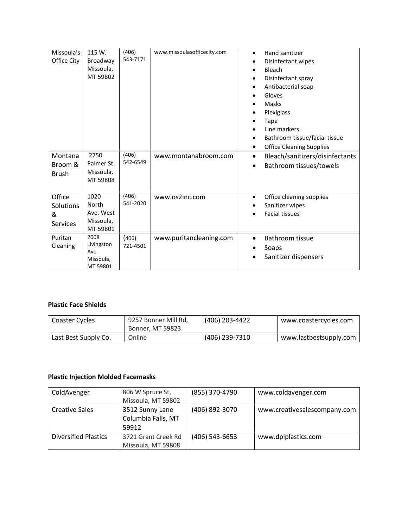| Missoula's<br>Office City                   | 115 W.<br>Broadway<br>Missoula,<br>MT 59802         | (406)<br>543-7171 | www.missoulasofficecity.com | Hand sanitizer<br>$\bullet$<br>Disinfectant wipes<br>٠<br>Bleach<br>$\bullet$<br>Disinfectant spray<br>٠<br>Antibacterial soap<br>Gloves<br>Masks<br>Plexiglass<br>Tape<br>٠<br>Line markers<br>$\bullet$<br>Bathroom tissue/facial tissue<br><b>Office Cleaning Supplies</b><br>$\bullet$ |
|---------------------------------------------|-----------------------------------------------------|-------------------|-----------------------------|--------------------------------------------------------------------------------------------------------------------------------------------------------------------------------------------------------------------------------------------------------------------------------------------|
| Montana<br>Broom &<br><b>Brush</b>          | 2750<br>Palmer St.<br>Missoula,<br>MT 59808         | (406)<br>542-6549 | www.montanabroom.com        | Bleach/sanitizers/disinfectants<br>$\bullet$<br>Bathroom tissues/towels<br>$\bullet$                                                                                                                                                                                                       |
| Office<br>Solutions<br>&<br><b>Services</b> | 1020<br>North<br>Ave. West<br>Missoula,<br>MT 59801 | (406)<br>541-2020 | www.os2inc.com              | Office cleaning supplies<br>$\bullet$<br>Sanitizer wipes<br><b>Facial tissues</b>                                                                                                                                                                                                          |
| Puritan<br>Cleaning                         | 2008<br>Livingston<br>Ave.<br>Missoula,<br>MT 59801 | (406)<br>721-4501 | www.puritancleaning.com     | Bathroom tissue<br>٠<br>Soaps<br>Sanitizer dispensers                                                                                                                                                                                                                                      |

### **Plastic Face Shields**

| Coaster Cycles       | 9257 Bonner Mill Rd,<br>Bonner, MT 59823 | (406) 203-4422 | www.coastercycles.com  |
|----------------------|------------------------------------------|----------------|------------------------|
| Last Best Supply Co. | Online                                   | (406) 239-7310 | www.lastbestsupply.com |

## **Plastic Injection Molded Facemasks**

| ColdAvenger                 | 806 W Spruce St,    | (855) 370-4790 | www.coldavenger.com          |
|-----------------------------|---------------------|----------------|------------------------------|
|                             | Missoula, MT 59802  |                |                              |
| <b>Creative Sales</b>       | 3512 Sunny Lane     | (406) 892-3070 | www.creativesalescompany.com |
|                             | Columbia Falls, MT  |                |                              |
|                             | 59912               |                |                              |
| <b>Diversified Plastics</b> | 3721 Grant Creek Rd | (406) 543-6653 | www.dpiplastics.com          |
|                             | Missoula, MT 59808  |                |                              |